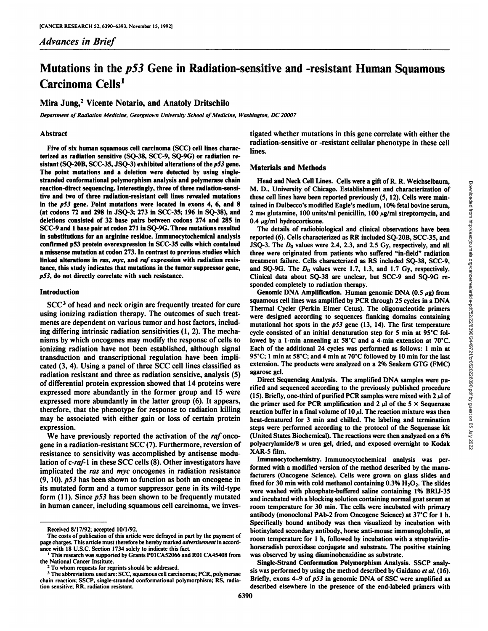## *Advances in Brief*

# Mutations in the p53 Gene in Radiation-sensitive and -resistant Human Squamous Carcinoma Cells<sup>1</sup>

## Mira Jung,2 Vicente Notario, and Anatoly Dritschilo

*Department of Radiation Medicine, Georgetown University School of Medicine, Washington, DC 20007*

### Abstract

Five of six human squamous cell carcinoma (SCC) cell lines charac terized as radiation sensitive (SQ-38, SCC-9, SQ-9G) or radiation re sistant (SQ-20B, SCC-35, JSQ-3) exhibited alterations of the p53 gene. The point mutations and a deletion were detected by using singlestranded conformational polymorphism analysis and polymerase chain reaction-direct sequencing. Interestingly, three of three radiation-sensi tive and two of three radiation-resistant cell lines revealed mutations in the  $p53$  gene. Point mutations were located in exons 4, 6, and 8 (at codons 72 and 298 in JSQ-3; 273 in SCC-35; 196 in SQ-38), and deletions consisted of 32 base pairs between codons 274 and 285 in SCC-9 and 1 base pair at codon 271 in SQ-9G. Three mutations resulted in substitutions for an arginine residue. Immunocytochemical analysis confirmed p53 protein overexpression in SCC-35 cells which contained a missense mutation at codon 273. In contrast to previous studies which linked alterations in ras, myc, and raf expression with radiation resistance, this study indicates that mutations in the tumor suppressor gene,  $p53$ , do not directly correlate with such resistance.

#### Introduction

SCC<sup>3</sup> of head and neck origin are frequently treated for cure using ionizing radiation therapy. The outcomes of such treat ments are dependent on various tumor and host factors, includ ing differing intrinsic radiation sensitivities (1, 2). The mecha nisms by which oncogenes may modify the response of cells to ionizing radiation have not been established, although signal Each of the additional 24 cycles was performed as follows: 1 min at<br>transduction and transcriptional regulation have been impli-<br>95 °C; 1 min at 58 °C; and 4 mi transduction and transcriptional regulation have been impli cated (3, 4). Using a panel of three SCC cell lines classified as radiation resistant and three as radiation sensitive, analysis (5) of differential protein expression showed that 14 proteins were expressed more abundantly in the former group and 15 were expressed more abundantly in the latter group (6). It appears, therefore, that the phenotype for response to radiation killing may be associated with either gain or loss of certain protein expression.

We have previously reported the activation of the raf oncogene in a radiation-resistant SCC (7). Furthermore, reversion of resistance to sensitivity was accomplished by antisense modu lation of  $c$ -raf- $\bf{l}$  in these SCC cells (8). Other investigators have implicated the ras and myc oncogenes in radiation resistance (9, 10). p53 has been shown to function as both an oncogene in its mutated form and a tumor suppressor gene in its wild-type form (11). Since p53 has been shown to be frequently mutated in human cancer, including squamous cell carcinoma, we inves-

tigated whether mutations in this gene correlate with either the radiation-sensitive or -resistant cellular phenotype in these cell lines.

#### Materials and Methods

Head and Neck Cell Lines. Cells were a gift of R. R. Weichselbaum, M. D., University of Chicago. Establishment and characterization of tained in Dulbecco's modified Eagle's medium, 10% fetal bovine serum, 2 mm glutamine, 100 units/ml penicillin, 100  $\mu$ g/ml streptomycin, and  $0.4 \mu$ g/ml hydrocortisone.

The details of radiobiological and clinical observations have been reported (6). Cells characterized as RR included SQ-20B, SCC-35, and JSQ-3. The  $D_0$  values were 2.4, 2.3, and 2.5 Gy, respectively, and all three were originated from patients who suffered "in-field" radiation treatment failure. Cells characterized as RS included SQ-38, SCC-9, and SQ-9G. The  $D_0$  values were 1.7, 1.3, and 1.7 Gy, respectively. Clinical data about SQ-38 are unclear, but SCC-9 and SQ-9G re sponded completely to radiation therapy.

Fream Mate Vect Centrales. Cells were guit of k. K. wetchester was the these cell lines have been reported previously (5, 12). Cells were main-<br>these cell lines have been reported previously (5, 12). Cells were main-<br>2 mw Genomic DNA Amplification. Human genomic DNA  $(0.5 \mu g)$  from squamous cell lines was amplified by PCR through 25 cycles in a DNA Thermal Cycler (Perkin Elmer Cetus). The oligonucleotide primers were designed according to sequences flanking domains containing mutational hot spots in the  $p53$  gene (13, 14). The first temperature cycle consisted of an initial denaturation step for 5 min at 95°C followed by a 1-min annealing at 58°C and a 4-min extension at 70°C. Each of the additional 24 cycles was performed as follows: 1 min at extension. The products were analyzed on a 2% Seakem GTG (FMC) agarose gel.

Direct Sequencing Analysis. The amplified DNA samples were pu rified and sequenced according to the previously published procedure (15). Briefly, one-third of purified PCR samples were mixed with  $2 \mu$  of the primer used for PCR amplification and 2  $\mu$ l of the 5  $\times$  Sequenase reaction buffer in a final volume of  $10 \mu l$ . The reaction mixture was then heat-denatured for 3 min and chilled. The labeling and termination steps were performed according to the protocol of the Sequenase kit (United States Biochemical). The reactions were then analyzed on a 6% polyacrylamide/8 M urea gel, dried, and exposed overnight to Kodak XAR-5 film.

Immunocytochemistry. Immunocytochemical analysis was per formed with a modified version of the method described by the manu facturers (Oncogene Science). Cells were grown on glass slides and fixed for 30 min with cold methanol containing  $0.3\%$  H<sub>2</sub>O<sub>2</sub>. The slides were washed with phosphate-buffered saline containing 1% BRIJ-35 and incubated with a blocking solution containing normal goat serum at room temperature for 30 min. The cells were incubated with primary antibody (monoclonal PAb-2 from Oncogene Science) at  $37^{\circ}$ C for 1 h. Specifically bound antibody was then visualized by incubation with biotinylated secondary antibody, horse anti-mouse immunoglobulin, at room temperature for 1 h, followed by incubation with a streptavidinhorseradish peroxidase conjugate and substrate. The positive staining was observed by using diaminobenzidine as substrate.

Single-Strand Conformation Polymorphism Analysis. SSCP analy sis was performed by using the method described by Gaidano et al. (16). Briefly, exons 4-9 of p53 in genomic DNA of SSC were amplified as described elsewhere in the presence of the end-labeled primers with

Received 8/17/92; accepted 10/1/92.

The costs of publication of this article were defrayed in part by the payment of page charges. This article must therefore be hereby marked advertisement in accord ance with 18 U.S.C. Section 1734 solely to indicate this fact.

<sup>1</sup>This research was supported by Grants P01CA52066 and ROI CA45408 from the National Cancer Institute.

To whom requests for reprints should be addressed.

<sup>&</sup>lt;sup>3</sup> The abbreviations used are: SCC, squamous cell carcinomas; PCR, polymerase chain reaction; SSCP, single-stranded conformational polymorphism; RS, radia tion sensitive; RR, radiation resistant.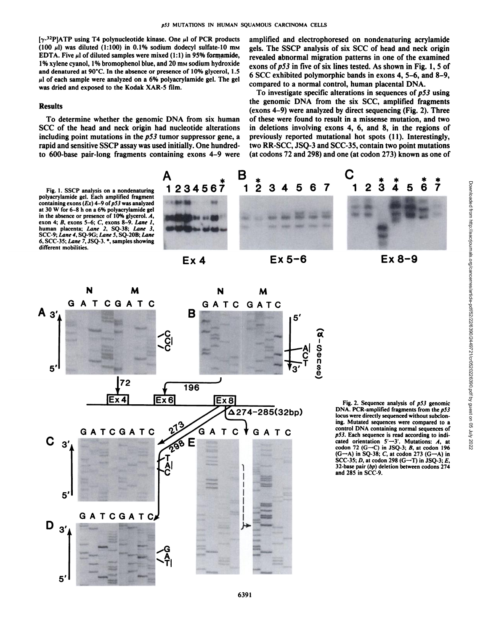$[\gamma^{-32}P]$ ATP using T4 polynucleotide kinase. One  $\mu$ l of PCR products (100  $\mu$ ) was diluted (1:100) in 0.1% sodium dodecyl sulfate-10 mm EDTA. Five  $\mu$ l of diluted samples were mixed (1:1) in 95% formamide, 1% xylene cyanol, 1% bromophenol blue, and 20 mm sodium hydroxide and denatured at 90°C. In the absence or presence of 10% glycerol, 1.5  $\mu$ l of each sample were analyzed on a 6% polyacrylamide gel. The gel was dried and exposed to the Kodak XAR-5 film.

#### Results

To determine whether the genomic DNA from six human SCC of the head and neck origin had nucleotide alterations including point mutations in the  $p53$  tumor suppressor gene, a rapid and sensitive SSCP assay was used initially. One hundredto 600-base pair-long fragments containing exons 4-9 were amplified and electrophoresed on nondenaturing acrylamide gels. The SSCP analysis of six SCC of head and neck origin revealed abnormal migration patterns in one of the examined exons of  $p53$  in five of six lines tested. As shown in Fig. 1, 5 of 6 SCC exhibited polymorphic bands in exons 4, 5-6, and 8-9, compared to a normal control, human placental DNA.

To investigate specific alterations in sequences of  $p53$  using the genomic DNA from the six SCC, amplified fragments (exons 4-9) were analyzed by direct sequencing (Fig. 2). Three of these were found to result in a missense mutation, and two in deletions involving exons 4, 6, and 8, in the regions of previously reported mutational hot spots (11). Interestingly, two RR-SCC, JSQ-3 and SCC-35, contain two point mutations (at codons 72 and 298) and one (at codon 273) known as one of

polyacrylamide gel. Each amplified fragment containing exons  $(EX)$  4-9 of p53 was analyzed at 30 W for 6-8 h on a 6% polyacrylamide gel in the absence or presence of 10% glycerol.  $A$ , exon 4;  $B$ , exons 5-6;  $C$ , exons 8-9. Lane  $I$ , human placenta; Lane 2, SQ-38; Lane 3, SCC-9; Lane 4, SQ-9G; Lane 5, SQ-20B; Lane *6. SCC-35; Lane 7, JSQ-3. \*. samples showing* different mobilities.









DNA. PCR-amplified fragments from the p53 locus were directly sequenced without subcloning. Mutated sequences were compared to a control DNA containing normal sequences of *p53. Each sequence is read according to indi* cated orientation 5'—3'. Mutations: A, at codon 72 (G-C) in JSQ-3;  $B$ , at codon 196  $(G \rightarrow A)$  in SQ-38; C, at codon 273  $(G \rightarrow A)$  in SCC-35; D, at codon 298 (G-T) in JSQ-3; E, 32-base pair (bp) deletion between codons 274 and 285 in SCC-9.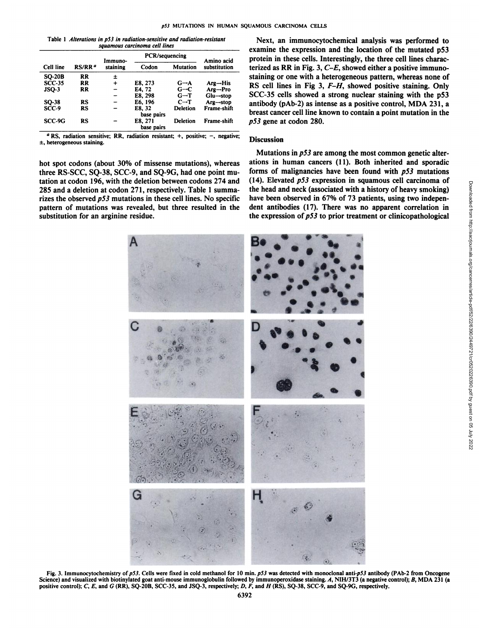Table 1 Alterations in p53 in radiation-sensitive and radiation-resistant *squamous carcinoma cell lines*

| Cell line     | RS/RR <sup>a</sup> | Immuno-<br>staining | PCR/sequencing        |                   | Amino acid                            |
|---------------|--------------------|---------------------|-----------------------|-------------------|---------------------------------------|
|               |                    |                     | Codon                 | <b>Mutation</b>   | substitution                          |
| <b>SO-20B</b> | <b>RR</b>          | ±                   |                       |                   |                                       |
| $SCC-35$      | RR                 | $\div$              | E8, 273               | $G \rightarrow A$ | $\mathbf{Arg}\rightarrow\mathbf{His}$ |
| $JSO-3$       | RR                 |                     | E4. 72                | $G - C$           | $Arg \rightarrow Pro$                 |
|               |                    |                     | E8, 298               | $G - T$           | $Glu \rightarrow stop$                |
| SQ-38         | RS                 |                     | E6.196                | $C \rightarrow T$ | $Arg \rightarrow stop$                |
| SCC-9         | RS                 |                     | E8. 32<br>base pairs  | <b>Deletion</b>   | Frame-shift                           |
| SCC-9G        | RS                 |                     | E8, 271<br>base pairs | <b>Deletion</b>   | <b>Frame-shift</b>                    |

 ${}^a$  RS, radiation sensitive; RR, radiation resistant; +, positive; -, negative;  $±$ , heterogeneous staining.

hot spot codons (about 30% of missense mutations), whereas three RS-SCC, SQ-38, SCC-9, and SQ-9G, had one point mu tation at codon 196, with the deletion between codons 274 and 285 and a deletion at codon 271, respectively. Table 1 summa rizes the observed  $p53$  mutations in these cell lines. No specific pattern of mutations was revealed, but three resulted in the substitution for an arginine residue.

<sub>acid</sub> protein in these cells. Interestingly, the three cell lines characsubstitution terized as RR in Fig. 3,  $C-E$ , showed either a positive immuno- $Arg$ -stop antibody (pAb-2) as intense as a positive control, MDA 231, a Next, an immunocytochemical analysis was performed to examine the expression and the location of the mutated p53 staining or one with a heterogeneous pattern, whereas none of RS cell lines in Fig 3, F-H, showed positive staining. Only SCC-35 cells showed a strong nuclear staining with the p53 breast cancer cell line known to contain a point mutation in the *p53* gene at codon 280.

## **Discussion**

Mutations in  $p53$  are among the most common genetic alterations in human cancers (11). Both inherited and sporadic forms of malignancies have been found with  $p53$  mutations the head and neck (associated with a history of heavy smoking) have been observed in 67% of 73 patients, using two indepen dent antibodies (17). There was no apparent correlation in the expression of  $p53$  to prior treatment or clinicopathological



Fig. 3. Immunocytochemistry of p53. Cells were fixed in cold methanol for 10 min. p53 was detected with monoclonal anti-p53 antibody (PAb-2 from Oncogene Science) and visualized with biotinylated goat anti-mouse immunoglobulin followed by immunoperoxidase staining. A, NIH/3T3 (a negative control); B, MDA 231 (a positive control); C, E, and G (RR), SQ-20B, SCC-35, and JSQ-3, respectively; D, F, and H (RS), SQ-38, SCC-9, and SQ-9G, respectively.